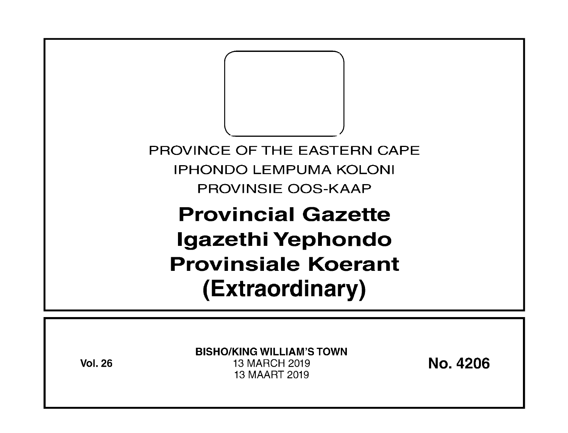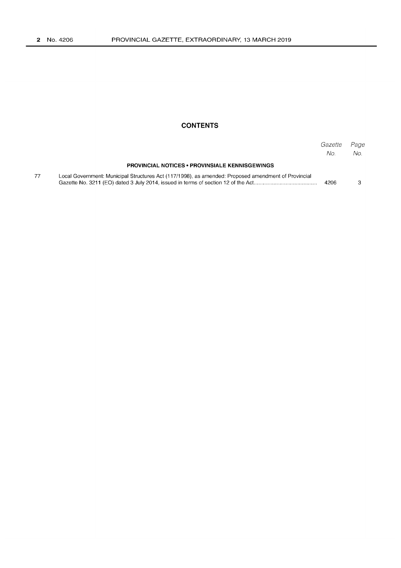## **CONTENTS**

|    |                                                                                                     | Gazette<br>No. | Page<br>No. |
|----|-----------------------------------------------------------------------------------------------------|----------------|-------------|
|    | <b>PROVINCIAL NOTICES • PROVINSIALE KENNISGEWINGS</b>                                               |                |             |
| 77 | Local Government: Municipal Structures Act (117/1998), as amended: Proposed amendment of Provincial | 4206           |             |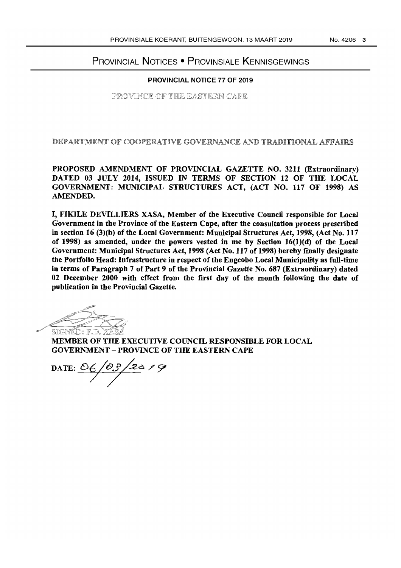# PROVINCIAL NOTICES • PROVINSIALE KENNISGEWINGS

#### PROVINCIAL NOTICE 77 OF 2019

PROVINCE OF THE EASTERN CAPE

DEPARTMENT OF COOPERATIVE GOVERNANCE AND TRADITIONAL AFFAIRS

PROPOSED AMENDMENT OF PROVINCIAL GAZETTE NO. 3211 (Extraordinary) DATED 03 JULY 2014, ISSUED IN TERMS OF SECTION 12 OF THE LOCAL GOVERNMENT: MUNICIPAL STRUCTURES ACT, (ACT NO. 117 OF 1998) AS AMENDED.

I, FIKILE DEVILLIERS XASA, Member of the Executive Council responsible for Local Government in the Province of the Eastern Cape, after the consultation process prescribed in section 16 (3)(b) of the Local Government: Municipal Structures Act, 1998, (Act No. 117 of 1998) as amended, under the powers vested in me by Section 16(1)(d) of the Local Government: Municipal Structures Act, 1998 (Act No. 117 of 1998) hereby finally designate the Portfolio Head: Infrastructure in respect of the Engcobo Local Municipality as full-time in terms of Paragraph 7 of Part 9 of the Provincial Gazette No. 687 (Extraordinary) dated 02 December 2000 with effect from the first day of the month following the date of publication in the Provincial Gazette.

 $\mathbb{Z}^2$  $\mathbb{Z} \rightarrow \mathbb{Z}$ §lIG~: *lFJwo* 

**SIGNED: F.D. XASA**<br>SIGNED: F.D. XASA<br>**MEMBER OF THE EXECUTIVE COUNCIL RESPONSIBLE FOR LOCAL** GOVERNMENT - PROVINCE OF THE EASTERN CAPE

DATE: <u>OG/OS/20</u>19  $\overline{1}$